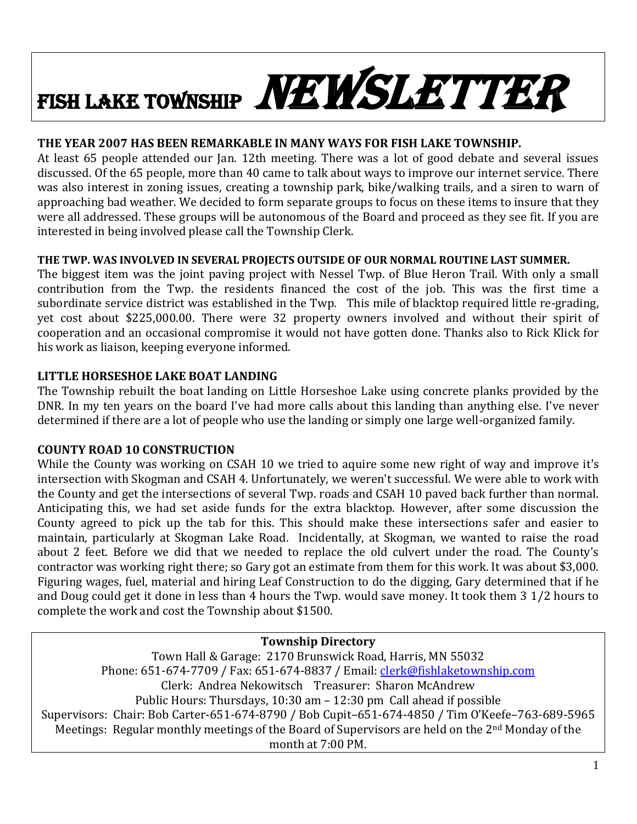# FISH LAKE TOWNSHIP NEWSLETTER

## **THE YEAR 2007 HAS BEEN REMARKABLE IN MANY WAYS FOR FISH LAKE TOWNSHIP.**

At least 65 people attended our Jan. 12th meeting. There was a lot of good debate and several issues discussed. Of the 65 people, more than 40 came to talk about ways to improve our internet service. There was also interest in zoning issues, creating a township park, bike/walking trails, and a siren to warn of approaching bad weather. We decided to form separate groups to focus on these items to insure that they were all addressed. These groups will be autonomous of the Board and proceed as they see fit. If you are interested in being involved please call the Township Clerk.

## **THE TWP. WAS INVOLVED IN SEVERAL PROJECTS OUTSIDE OF OUR NORMAL ROUTINE LAST SUMMER.**

The biggest item was the joint paving project with Nessel Twp. of Blue Heron Trail. With only a small contribution from the Twp. the residents financed the cost of the job. This was the first time a subordinate service district was established in the Twp. This mile of blacktop required little re-grading, yet cost about \$225,000.00. There were 32 property owners involved and without their spirit of cooperation and an occasional compromise it would not have gotten done. Thanks also to Rick Klick for his work as liaison, keeping everyone informed.

# **LITTLE HORSESHOE LAKE BOAT LANDING**

The Township rebuilt the boat landing on Little Horseshoe Lake using concrete planks provided by the DNR. In my ten years on the board I've had more calls about this landing than anything else. I've never determined if there are a lot of people who use the landing or simply one large well-organized family.

## **COUNTY ROAD 10 CONSTRUCTION**

While the County was working on CSAH 10 we tried to aquire some new right of way and improve it's intersection with Skogman and CSAH 4. Unfortunately, we weren't successful. We were able to work with the County and get the intersections of several Twp. roads and CSAH 10 paved back further than normal. Anticipating this, we had set aside funds for the extra blacktop. However, after some discussion the County agreed to pick up the tab for this. This should make these intersections safer and easier to maintain, particularly at Skogman Lake Road. Incidentally, at Skogman, we wanted to raise the road about 2 feet. Before we did that we needed to replace the old culvert under the road. The County's contractor was working right there; so Gary got an estimate from them for this work. It was about \$3,000. Figuring wages, fuel, material and hiring Leaf Construction to do the digging, Gary determined that if he and Doug could get it done in less than 4 hours the Twp. would save money. It took them 3 1/2 hours to complete the work and cost the Township about \$1500.

**Township Directory** Town Hall & Garage: 2170 Brunswick Road, Harris, MN 55032 Phone: 651-674-7709 / Fax: 651-674-8837 / Email: [clerk@fishlaketownship.com](mailto:clerk@fishlaketownship.com) Clerk: Andrea Nekowitsch Treasurer: Sharon McAndrew Public Hours: Thursdays, 10:30 am – 12:30 pm Call ahead if possible Supervisors: Chair: Bob Carter-651-674-8790 / Bob Cupit–651-674-4850 / Tim O'Keefe–763-689-5965 Meetings: Regular monthly meetings of the Board of Supervisors are held on the 2<sup>nd</sup> Monday of the month at 7:00 PM.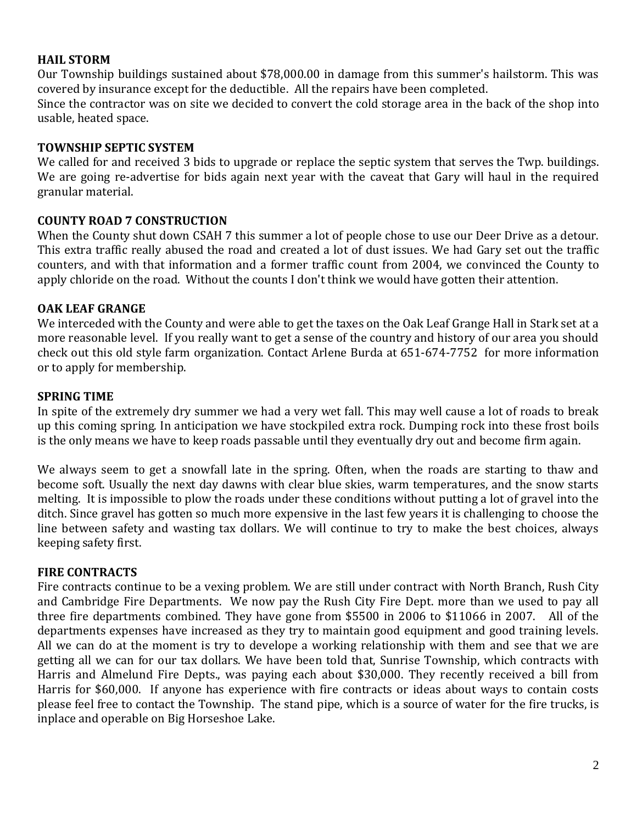#### **HAIL STORM**

Our Township buildings sustained about \$78,000.00 in damage from this summer's hailstorm. This was covered by insurance except for the deductible. All the repairs have been completed. Since the contractor was on site we decided to convert the cold storage area in the back of the shop into usable, heated space.

#### **TOWNSHIP SEPTIC SYSTEM**

We called for and received 3 bids to upgrade or replace the septic system that serves the Twp. buildings. We are going re-advertise for bids again next year with the caveat that Gary will haul in the required granular material.

#### **COUNTY ROAD 7 CONSTRUCTION**

When the County shut down CSAH 7 this summer a lot of people chose to use our Deer Drive as a detour. This extra traffic really abused the road and created a lot of dust issues. We had Gary set out the traffic counters, and with that information and a former traffic count from 2004, we convinced the County to apply chloride on the road. Without the counts I don't think we would have gotten their attention.

#### **OAK LEAF GRANGE**

We interceded with the County and were able to get the taxes on the Oak Leaf Grange Hall in Stark set at a more reasonable level. If you really want to get a sense of the country and history of our area you should check out this old style farm organization. Contact Arlene Burda at 651-674-7752 for more information or to apply for membership.

#### **SPRING TIME**

In spite of the extremely dry summer we had a very wet fall. This may well cause a lot of roads to break up this coming spring. In anticipation we have stockpiled extra rock. Dumping rock into these frost boils is the only means we have to keep roads passable until they eventually dry out and become firm again.

We always seem to get a snowfall late in the spring. Often, when the roads are starting to thaw and become soft. Usually the next day dawns with clear blue skies, warm temperatures, and the snow starts melting. It is impossible to plow the roads under these conditions without putting a lot of gravel into the ditch. Since gravel has gotten so much more expensive in the last few years it is challenging to choose the line between safety and wasting tax dollars. We will continue to try to make the best choices, always keeping safety first.

#### **FIRE CONTRACTS**

Fire contracts continue to be a vexing problem. We are still under contract with North Branch, Rush City and Cambridge Fire Departments. We now pay the Rush City Fire Dept. more than we used to pay all three fire departments combined. They have gone from \$5500 in 2006 to \$11066 in 2007. All of the departments expenses have increased as they try to maintain good equipment and good training levels. All we can do at the moment is try to develope a working relationship with them and see that we are getting all we can for our tax dollars. We have been told that, Sunrise Township, which contracts with Harris and Almelund Fire Depts., was paying each about \$30,000. They recently received a bill from Harris for \$60,000. If anyone has experience with fire contracts or ideas about ways to contain costs please feel free to contact the Township. The stand pipe, which is a source of water for the fire trucks, is inplace and operable on Big Horseshoe Lake.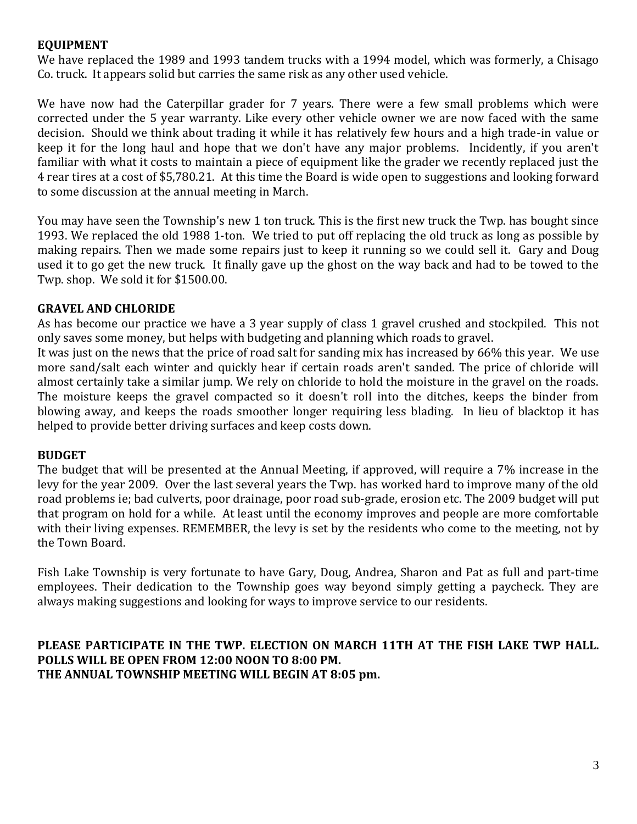## **EQUIPMENT**

We have replaced the 1989 and 1993 tandem trucks with a 1994 model, which was formerly, a Chisago Co. truck. It appears solid but carries the same risk as any other used vehicle.

We have now had the Caterpillar grader for 7 years. There were a few small problems which were corrected under the 5 year warranty. Like every other vehicle owner we are now faced with the same decision. Should we think about trading it while it has relatively few hours and a high trade-in value or keep it for the long haul and hope that we don't have any major problems. Incidently, if you aren't familiar with what it costs to maintain a piece of equipment like the grader we recently replaced just the 4 rear tires at a cost of \$5,780.21. At this time the Board is wide open to suggestions and looking forward to some discussion at the annual meeting in March.

You may have seen the Township's new 1 ton truck. This is the first new truck the Twp. has bought since 1993. We replaced the old 1988 1-ton. We tried to put off replacing the old truck as long as possible by making repairs. Then we made some repairs just to keep it running so we could sell it. Gary and Doug used it to go get the new truck. It finally gave up the ghost on the way back and had to be towed to the Twp. shop. We sold it for \$1500.00.

## **GRAVEL AND CHLORIDE**

As has become our practice we have a 3 year supply of class 1 gravel crushed and stockpiled. This not only saves some money, but helps with budgeting and planning which roads to gravel.

It was just on the news that the price of road salt for sanding mix has increased by 66% this year. We use more sand/salt each winter and quickly hear if certain roads aren't sanded. The price of chloride will almost certainly take a similar jump. We rely on chloride to hold the moisture in the gravel on the roads. The moisture keeps the gravel compacted so it doesn't roll into the ditches, keeps the binder from blowing away, and keeps the roads smoother longer requiring less blading. In lieu of blacktop it has helped to provide better driving surfaces and keep costs down.

## **BUDGET**

The budget that will be presented at the Annual Meeting, if approved, will require a 7% increase in the levy for the year 2009. Over the last several years the Twp. has worked hard to improve many of the old road problems ie; bad culverts, poor drainage, poor road sub-grade, erosion etc. The 2009 budget will put that program on hold for a while. At least until the economy improves and people are more comfortable with their living expenses. REMEMBER, the levy is set by the residents who come to the meeting, not by the Town Board.

Fish Lake Township is very fortunate to have Gary, Doug, Andrea, Sharon and Pat as full and part-time employees. Their dedication to the Township goes way beyond simply getting a paycheck. They are always making suggestions and looking for ways to improve service to our residents.

## **PLEASE PARTICIPATE IN THE TWP. ELECTION ON MARCH 11TH AT THE FISH LAKE TWP HALL. POLLS WILL BE OPEN FROM 12:00 NOON TO 8:00 PM. THE ANNUAL TOWNSHIP MEETING WILL BEGIN AT 8:05 pm.**